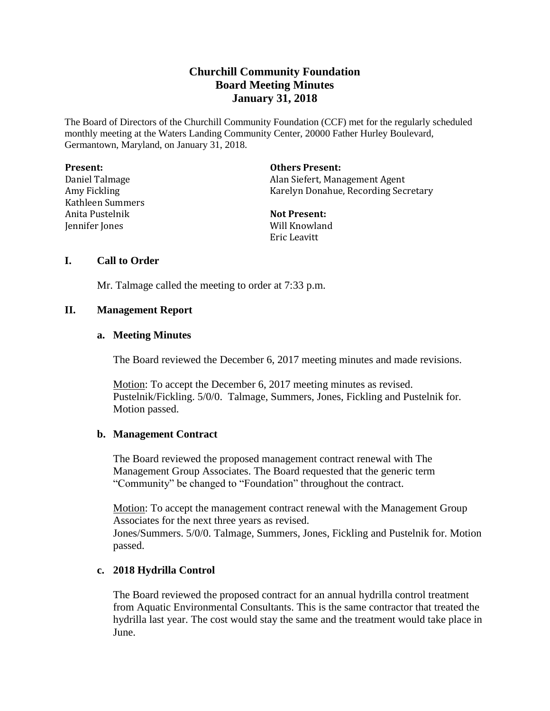# **Churchill Community Foundation Board Meeting Minutes January 31, 2018**

The Board of Directors of the Churchill Community Foundation (CCF) met for the regularly scheduled monthly meeting at the Waters Landing Community Center, 20000 Father Hurley Boulevard, Germantown, Maryland, on January 31, 2018.

| <b>Present:</b>  | <b>Others Present:</b>               |
|------------------|--------------------------------------|
| Daniel Talmage   | Alan Siefert, Management Agent       |
| Amy Fickling     | Karelyn Donahue, Recording Secretary |
| Kathleen Summers |                                      |
| Anita Pustelnik  | <b>Not Present:</b>                  |
| Jennifer Jones   | Will Knowland                        |
|                  | Eric Leavitt                         |

### **I. Call to Order**

Mr. Talmage called the meeting to order at 7:33 p.m.

#### **II. Management Report**

#### **a. Meeting Minutes**

The Board reviewed the December 6, 2017 meeting minutes and made revisions.

Motion: To accept the December 6, 2017 meeting minutes as revised. Pustelnik/Fickling. 5/0/0. Talmage, Summers, Jones, Fickling and Pustelnik for. Motion passed.

#### **b. Management Contract**

The Board reviewed the proposed management contract renewal with The Management Group Associates. The Board requested that the generic term "Community" be changed to "Foundation" throughout the contract.

Motion: To accept the management contract renewal with the Management Group Associates for the next three years as revised. Jones/Summers. 5/0/0. Talmage, Summers, Jones, Fickling and Pustelnik for. Motion

passed.

#### **c. 2018 Hydrilla Control**

The Board reviewed the proposed contract for an annual hydrilla control treatment from Aquatic Environmental Consultants. This is the same contractor that treated the hydrilla last year. The cost would stay the same and the treatment would take place in June.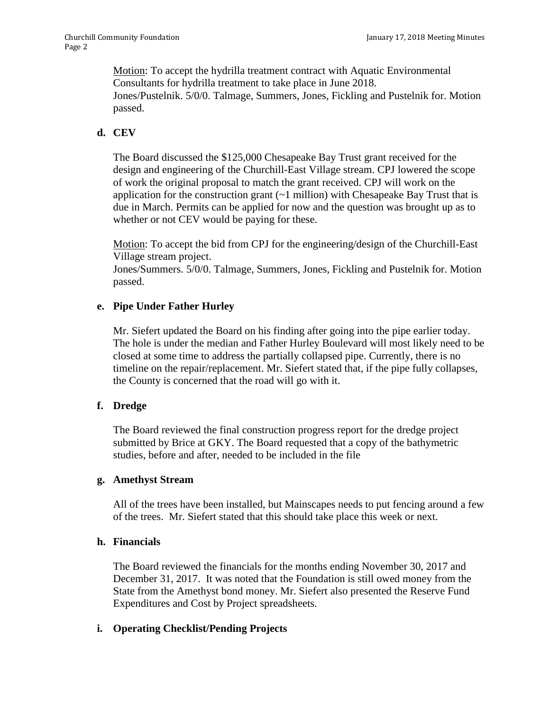Motion: To accept the hydrilla treatment contract with Aquatic Environmental Consultants for hydrilla treatment to take place in June 2018. Jones/Pustelnik. 5/0/0. Talmage, Summers, Jones, Fickling and Pustelnik for. Motion passed.

#### **d. CEV**

The Board discussed the \$125,000 Chesapeake Bay Trust grant received for the design and engineering of the Churchill-East Village stream. CPJ lowered the scope of work the original proposal to match the grant received. CPJ will work on the application for the construction grant  $(-1 \text{ million})$  with Chesapeake Bay Trust that is due in March. Permits can be applied for now and the question was brought up as to whether or not CEV would be paying for these.

Motion: To accept the bid from CPJ for the engineering/design of the Churchill-East Village stream project.

Jones/Summers. 5/0/0. Talmage, Summers, Jones, Fickling and Pustelnik for. Motion passed.

### **e. Pipe Under Father Hurley**

Mr. Siefert updated the Board on his finding after going into the pipe earlier today. The hole is under the median and Father Hurley Boulevard will most likely need to be closed at some time to address the partially collapsed pipe. Currently, there is no timeline on the repair/replacement. Mr. Siefert stated that, if the pipe fully collapses, the County is concerned that the road will go with it.

# **f. Dredge**

The Board reviewed the final construction progress report for the dredge project submitted by Brice at GKY. The Board requested that a copy of the bathymetric studies, before and after, needed to be included in the file

#### **g. Amethyst Stream**

All of the trees have been installed, but Mainscapes needs to put fencing around a few of the trees. Mr. Siefert stated that this should take place this week or next.

#### **h. Financials**

The Board reviewed the financials for the months ending November 30, 2017 and December 31, 2017. It was noted that the Foundation is still owed money from the State from the Amethyst bond money. Mr. Siefert also presented the Reserve Fund Expenditures and Cost by Project spreadsheets.

# **i. Operating Checklist/Pending Projects**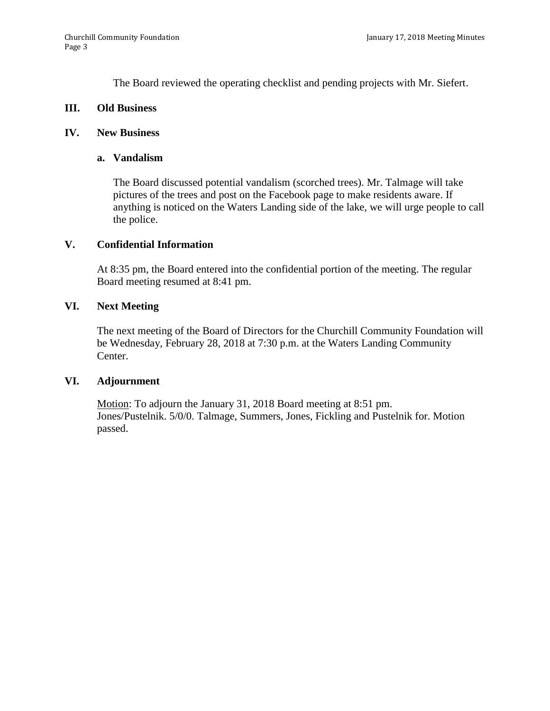The Board reviewed the operating checklist and pending projects with Mr. Siefert.

#### **III. Old Business**

#### **IV. New Business**

#### **a. Vandalism**

The Board discussed potential vandalism (scorched trees). Mr. Talmage will take pictures of the trees and post on the Facebook page to make residents aware. If anything is noticed on the Waters Landing side of the lake, we will urge people to call the police.

#### **V. Confidential Information**

At 8:35 pm, the Board entered into the confidential portion of the meeting. The regular Board meeting resumed at 8:41 pm.

#### **VI. Next Meeting**

The next meeting of the Board of Directors for the Churchill Community Foundation will be Wednesday, February 28, 2018 at 7:30 p.m. at the Waters Landing Community Center.

#### **VI. Adjournment**

Motion: To adjourn the January 31, 2018 Board meeting at 8:51 pm. Jones/Pustelnik. 5/0/0. Talmage, Summers, Jones, Fickling and Pustelnik for. Motion passed.